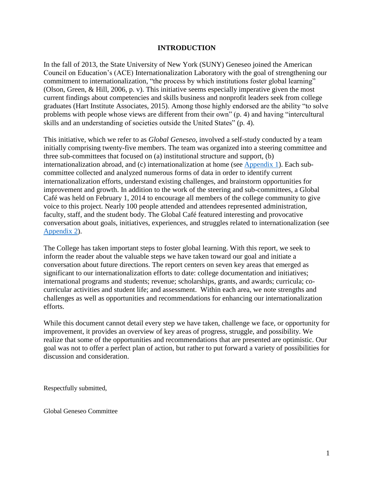#### **INTRODUCTION**

In the fall of 2013, the State University of New York (SUNY) Geneseo joined the American Council on Education's (ACE) Internationalization Laboratory with the goal of strengthening our commitment to internationalization, "the process by which institutions foster global learning" (Olson, Green, & Hill, 2006, p. v). This initiative seems especially imperative given the most current findings about competencies and skills business and nonprofit leaders seek from college graduates (Hart Institute Associates, 2015). Among those highly endorsed are the ability "to solve problems with people whose views are different from their own" (p. 4) and having "intercultural skills and an understanding of societies outside the United States" (p. 4).

This initiative, which we refer to as *Global Geneseo*, involved a self-study conducted by a team initially comprising twenty-five members. The team was organized into a steering committee and three sub-committees that focused on (a) institutional structure and support, (b) internationalization abroad, and (c) internationalization at home (see [Appendix 1\)](http://www.geneseo.edu/webfm_send/11149). Each subcommittee collected and analyzed numerous forms of data in order to identify current internationalization efforts, understand existing challenges, and brainstorm opportunities for improvement and growth. In addition to the work of the steering and sub-committees, a Global Café was held on February 1, 2014 to encourage all members of the college community to give voice to this project. Nearly 100 people attended and attendees represented administration, faculty, staff, and the student body. The Global Café featured interesting and provocative conversation about goals, initiatives, experiences, and struggles related to internationalization (see [Appendix 2\)](http://www.geneseo.edu/webfm_send/11150).

The College has taken important steps to foster global learning. With this report, we seek to inform the reader about the valuable steps we have taken toward our goal and initiate a conversation about future directions. The report centers on seven key areas that emerged as significant to our internationalization efforts to date: college documentation and initiatives; international programs and students; revenue; scholarships, grants, and awards; curricula; cocurricular activities and student life; and assessment. Within each area, we note strengths and challenges as well as opportunities and recommendations for enhancing our internationalization efforts.

While this document cannot detail every step we have taken, challenge we face, or opportunity for improvement, it provides an overview of key areas of progress, struggle, and possibility. We realize that some of the opportunities and recommendations that are presented are optimistic. Our goal was not to offer a perfect plan of action, but rather to put forward a variety of possibilities for discussion and consideration.

Respectfully submitted,

Global Geneseo Committee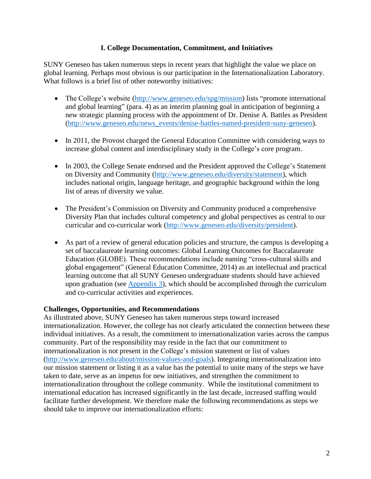## **I. College Documentation, Commitment, and Initiatives**

SUNY Geneseo has taken numerous steps in recent years that highlight the value we place on global learning. Perhaps most obvious is our participation in the Internationalization Laboratory. What follows is a brief list of other noteworthy initiatives:

- The College's website [\(http://www.geneseo.edu/spg/mission\)](http://www.geneseo.edu/spg/mission) lists "promote international and global learning" (para. 4) as an interim planning goal in anticipation of beginning a new strategic planning process with the appointment of Dr. Denise A. Battles as President [\(http://www.geneseo.edu/news\\_events/denise-battles-named-president-suny-geneseo\)](http://www.geneseo.edu/news_events/denise-battles-named-president-suny-geneseo).
- In 2011, the Provost charged the General Education Committee with considering ways to increase global content and interdisciplinary study in the College's core program.
- In 2003, the College Senate endorsed and the President approved the College's Statement on Diversity and Community [\(http://www.geneseo.edu/diversity/statement\)](http://www.geneseo.edu/diversity/statement), which includes national origin, language heritage, and geographic background within the long list of areas of diversity we value.
- The President's Commission on Diversity and Community produced a comprehensive Diversity Plan that includes cultural competency and global perspectives as central to our curricular and co-curricular work [\(http://www.geneseo.edu/diversity/president\)](http://www.geneseo.edu/diversity/president).
- As part of a review of general education policies and structure, the campus is developing a set of baccalaureate learning outcomes: Global Learning Outcomes for Baccalaureate Education (GLOBE). These recommendations include naming "cross-cultural skills and global engagement" (General Education Committee, 2014) as an intellectual and practical learning outcome that all SUNY Geneseo undergraduate students should have achieved upon graduation (see [Appendix 3\)](http://www.geneseo.edu/webfm_send/11454), which should be accomplished through the curriculum and co-curricular activities and experiences.

#### **Challenges, Opportunities, and Recommendations**

As illustrated above, SUNY Geneseo has taken numerous steps toward increased internationalization. However, the college has not clearly articulated the connection between these individual initiatives. As a result, the commitment to internationalization varies across the campus community. Part of the responsibility may reside in the fact that our commitment to internationalization is not present in the College's mission statement or list of values [\(http://www.geneseo.edu/about/mission-values-and-goals\)](http://www.geneseo.edu/about/mission-values-and-goals). Integrating internationalization into our mission statement or listing it as a value has the potential to unite many of the steps we have taken to date, serve as an impetus for new initiatives, and strengthen the commitment to internationalization throughout the college community. While the institutional commitment to international education has increased significantly in the last decade, increased staffing would facilitate further development. We therefore make the following recommendations as steps we should take to improve our internationalization efforts: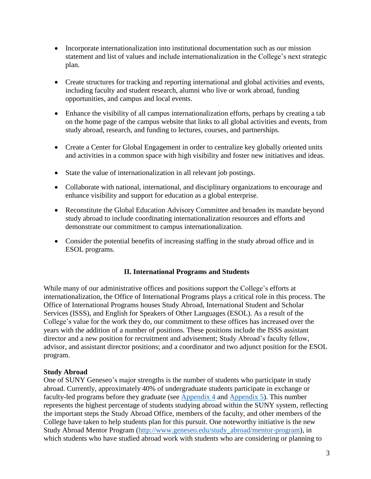- Incorporate internationalization into institutional documentation such as our mission statement and list of values and include internationalization in the College's next strategic plan.
- Create structures for tracking and reporting international and global activities and events, including faculty and student research, alumni who live or work abroad, funding opportunities, and campus and local events.
- Enhance the visibility of all campus internationalization efforts, perhaps by creating a tab on the home page of the campus website that links to all global activities and events, from study abroad, research, and funding to lectures, courses, and partnerships.
- Create a Center for Global Engagement in order to centralize key globally oriented units and activities in a common space with high visibility and foster new initiatives and ideas.
- State the value of internationalization in all relevant job postings.
- Collaborate with national, international, and disciplinary organizations to encourage and enhance visibility and support for education as a global enterprise.
- Reconstitute the Global Education Advisory Committee and broaden its mandate beyond study abroad to include coordinating internationalization resources and efforts and demonstrate our commitment to campus internationalization.
- Consider the potential benefits of increasing staffing in the study abroad office and in ESOL programs.

## **II. International Programs and Students**

While many of our administrative offices and positions support the College's efforts at internationalization, the Office of International Programs plays a critical role in this process. The Office of International Programs houses Study Abroad, International Student and Scholar Services (ISSS), and English for Speakers of Other Languages (ESOL). As a result of the College's value for the work they do, our commitment to these offices has increased over the years with the addition of a number of positions. These positions include the ISSS assistant director and a new position for recruitment and advisement; Study Abroad's faculty fellow, advisor, and assistant director positions; and a coordinator and two adjunct position for the ESOL program.

#### **Study Abroad**

One of SUNY Geneseo's major strengths is the number of students who participate in study abroad. Currently, approximately 40% of undergraduate students participate in exchange or faculty-led programs before they graduate (see [Appendix](http://www.geneseo.edu/webfm_send/11455) 4 and [Appendix 5\)](http://www.geneseo.edu/webfm_send/11456). This number represents the highest percentage of students studying abroad within the SUNY system, reflecting the important steps the Study Abroad Office, members of the faculty, and other members of the College have taken to help students plan for this pursuit. One noteworthy initiative is the new Study Abroad Mentor Program [\(http://www.geneseo.edu/study\\_abroad/mentor-program\)](http://www.geneseo.edu/study_abroad/mentor-program), in which students who have studied abroad work with students who are considering or planning to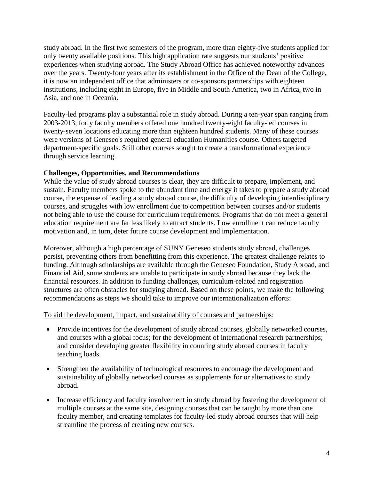study abroad. In the first two semesters of the program, more than eighty-five students applied for only twenty available positions. This high application rate suggests our students' positive experiences when studying abroad. The Study Abroad Office has achieved noteworthy advances over the years. Twenty-four years after its establishment in the Office of the Dean of the College, it is now an independent office that administers or co-sponsors partnerships with eighteen institutions, including eight in Europe, five in Middle and South America, two in Africa, two in Asia, and one in Oceania.

Faculty-led programs play a substantial role in study abroad. During a ten-year span ranging from 2003-2013, forty faculty members offered one hundred twenty-eight faculty-led courses in twenty-seven locations educating more than eighteen hundred students. Many of these courses were versions of Geneseo's required general education Humanities course. Others targeted department-specific goals. Still other courses sought to create a transformational experience through service learning.

# **Challenges, Opportunities, and Recommendations**

While the value of study abroad courses is clear, they are difficult to prepare, implement, and sustain. Faculty members spoke to the abundant time and energy it takes to prepare a study abroad course, the expense of leading a study abroad course, the difficulty of developing interdisciplinary courses, and struggles with low enrollment due to competition between courses and/or students not being able to use the course for curriculum requirements. Programs that do not meet a general education requirement are far less likely to attract students. Low enrollment can reduce faculty motivation and, in turn, deter future course development and implementation.

Moreover, although a high percentage of SUNY Geneseo students study abroad, challenges persist, preventing others from benefitting from this experience. The greatest challenge relates to funding. Although scholarships are available through the Geneseo Foundation, Study Abroad, and Financial Aid, some students are unable to participate in study abroad because they lack the financial resources. In addition to funding challenges, curriculum-related and registration structures are often obstacles for studying abroad. Based on these points, we make the following recommendations as steps we should take to improve our internationalization efforts:

## To aid the development, impact, and sustainability of courses and partnerships:

- Provide incentives for the development of study abroad courses, globally networked courses, and courses with a global focus; for the development of international research partnerships; and consider developing greater flexibility in counting study abroad courses in faculty teaching loads.
- Strengthen the availability of technological resources to encourage the development and sustainability of globally networked courses as supplements for or alternatives to study abroad.
- Increase efficiency and faculty involvement in study abroad by fostering the development of multiple courses at the same site, designing courses that can be taught by more than one faculty member, and creating templates for faculty-led study abroad courses that will help streamline the process of creating new courses.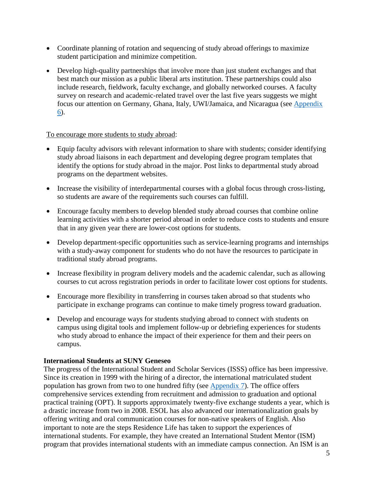- Coordinate planning of rotation and sequencing of study abroad offerings to maximize student participation and minimize competition.
- Develop high-quality partnerships that involve more than just student exchanges and that best match our mission as a public liberal arts institution. These partnerships could also include research, fieldwork, faculty exchange, and globally networked courses. A faculty survey on research and academic-related travel over the last five years suggests we might focus our attention on Germany, Ghana, Italy, UWI/Jamaica, and Nicaragua (see [Appendix](http://www.geneseo.edu/webfm_send/11457)  [6\)](http://www.geneseo.edu/webfm_send/11457).

#### To encourage more students to study abroad:

- Equip faculty advisors with relevant information to share with students; consider identifying study abroad liaisons in each department and developing degree program templates that identify the options for study abroad in the major. Post links to departmental study abroad programs on the department websites.
- Increase the visibility of interdepartmental courses with a global focus through cross-listing, so students are aware of the requirements such courses can fulfill.
- Encourage faculty members to develop blended study abroad courses that combine online learning activities with a shorter period abroad in order to reduce costs to students and ensure that in any given year there are lower-cost options for students.
- Develop department-specific opportunities such as service-learning programs and internships with a study-away component for students who do not have the resources to participate in traditional study abroad programs.
- Increase flexibility in program delivery models and the academic calendar, such as allowing courses to cut across registration periods in order to facilitate lower cost options for students.
- Encourage more flexibility in transferring in courses taken abroad so that students who participate in exchange programs can continue to make timely progress toward graduation.
- Develop and encourage ways for students studying abroad to connect with students on campus using digital tools and implement follow-up or debriefing experiences for students who study abroad to enhance the impact of their experience for them and their peers on campus.

## **International Students at SUNY Geneseo**

The progress of the International Student and Scholar Services (ISSS) office has been impressive. Since its creation in 1999 with the hiring of a director, the international matriculated student population has grown from two to one hundred fifty (see [Appendix 7\)](http://www.geneseo.edu/webfm_send/11458). The office offers comprehensive services extending from recruitment and admission to graduation and optional practical training (OPT). It supports approximately twenty-five exchange students a year, which is a drastic increase from two in 2008. ESOL has also advanced our internationalization goals by offering writing and oral communication courses for non-native speakers of English. Also important to note are the steps Residence Life has taken to support the experiences of international students. For example, they have created an International Student Mentor (ISM) program that provides international students with an immediate campus connection. An ISM is an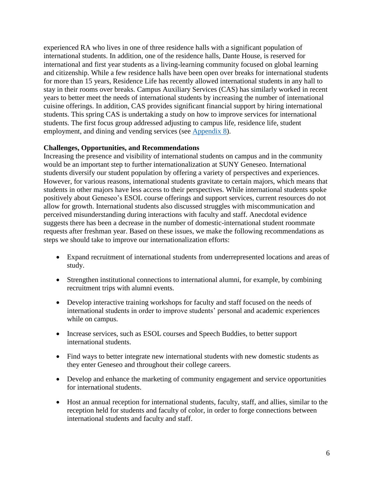experienced RA who lives in one of three residence halls with a significant population of international students. In addition, one of the residence halls, Dante House, is reserved for international and first year students as a living-learning community focused on global learning and citizenship. While a few residence halls have been open over breaks for international students for more than 15 years, Residence Life has recently allowed international students in any hall to stay in their rooms over breaks. Campus Auxiliary Services (CAS) has similarly worked in recent years to better meet the needs of international students by increasing the number of international cuisine offerings. In addition, CAS provides significant financial support by hiring international students. This spring CAS is undertaking a study on how to improve services for international students. The first focus group addressed adjusting to campus life, residence life, student employment, and dining and vending services (see [Appendix 8\)](http://www.geneseo.edu/webfm_send/11459).

## **Challenges, Opportunities, and Recommendations**

Increasing the presence and visibility of international students on campus and in the community would be an important step to further internationalization at SUNY Geneseo. International students diversify our student population by offering a variety of perspectives and experiences. However, for various reasons, international students gravitate to certain majors, which means that students in other majors have less access to their perspectives. While international students spoke positively about Geneseo's ESOL course offerings and support services, current resources do not allow for growth. International students also discussed struggles with miscommunication and perceived misunderstanding during interactions with faculty and staff. Anecdotal evidence suggests there has been a decrease in the number of domestic-international student roommate requests after freshman year. Based on these issues, we make the following recommendations as steps we should take to improve our internationalization efforts:

- Expand recruitment of international students from underrepresented locations and areas of study.
- Strengthen institutional connections to international alumni, for example, by combining recruitment trips with alumni events.
- Develop interactive training workshops for faculty and staff focused on the needs of international students in order to improve students' personal and academic experiences while on campus.
- Increase services, such as ESOL courses and Speech Buddies, to better support international students.
- Find ways to better integrate new international students with new domestic students as they enter Geneseo and throughout their college careers.
- Develop and enhance the marketing of community engagement and service opportunities for international students.
- Host an annual reception for international students, faculty, staff, and allies, similar to the reception held for students and faculty of color, in order to forge connections between international students and faculty and staff.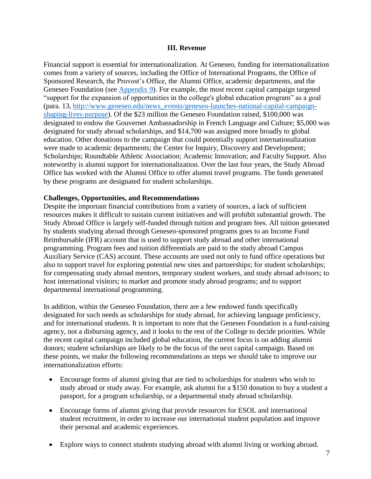#### **III. Revenue**

Financial support is essential for internationalization. At Geneseo, funding for internationalization comes from a variety of sources, including the Office of International Programs, the Office of Sponsored Research, the Provost's Office, the Alumni Office, academic departments, and the Geneseo Foundation (see [Appendix 9\)](http://www.geneseo.edu/webfm_send/11460). For example, the most recent capital campaign targeted "support for the expansion of opportunities in the college's global education program" as a goal (para. 13, [http://www.geneseo.edu/news\\_events/geneseo-launches-national-capital-campaign](http://www.geneseo.edu/news_events/geneseo-launches-national-capital-campaign-shaping-lives-purpose)[shaping-lives-purpose\)](http://www.geneseo.edu/news_events/geneseo-launches-national-capital-campaign-shaping-lives-purpose). Of the \$23 million the Geneseo Foundation raised, \$100,000 was designated to endow the Gouvernet Ambassadorship in French Language and Culture; \$5,000 was designated for study abroad scholarships, and \$14,700 was assigned more broadly to global education. Other donations to the campaign that could potentially support internationalization were made to academic departments; the Center for Inquiry, Discovery and Development; Scholarships; Roundtable Athletic Association; Academic Innovation; and Faculty Support. Also noteworthy is alumni support for internationalization. Over the last four years, the Study Abroad Office has worked with the Alumni Office to offer alumni travel programs. The funds generated by these programs are designated for student scholarships.

#### **Challenges, Opportunities, and Recommendations**

Despite the important financial contributions from a variety of sources, a lack of sufficient resources makes it difficult to sustain current initiatives and will prohibit substantial growth. The Study Abroad Office is largely self-funded through tuition and program fees. All tuition generated by students studying abroad through Geneseo-sponsored programs goes to an Income Fund Reimbursable (IFR) account that is used to support study abroad and other international programming. Program fees and tuition differentials are paid to the study abroad Campus Auxiliary Service (CAS) account. These accounts are used not only to fund office operations but also to support travel for exploring potential new sites and partnerships; for student scholarships; for compensating study abroad mentors, temporary student workers, and study abroad advisors; to host international visitors; to market and promote study abroad programs; and to support departmental international programming.

In addition, within the Geneseo Foundation, there are a few endowed funds specifically designated for such needs as scholarships for study abroad, for achieving language proficiency, and for international students. It is important to note that the Geneseo Foundation is a fund-raising agency, not a disbursing agency, and it looks to the rest of the College to decide priorities. While the recent capital campaign included global education, the current focus is on adding alumni donors; student scholarships are likely to be the focus of the next capital campaign. Based on these points, we make the following recommendations as steps we should take to improve our internationalization efforts:

- Encourage forms of alumni giving that are tied to scholarships for students who wish to study abroad or study away. For example, ask alumni for a \$150 donation to buy a student a passport, for a program scholarship, or a departmental study abroad scholarship.
- Encourage forms of alumni giving that provide resources for ESOL and international student recruitment, in order to increase our international student population and improve their personal and academic experiences.
- Explore ways to connect students studying abroad with alumni living or working abroad.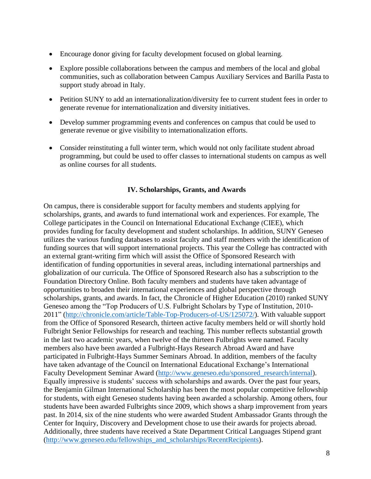- Encourage donor giving for faculty development focused on global learning.
- Explore possible collaborations between the campus and members of the local and global communities, such as collaboration between Campus Auxiliary Services and Barilla Pasta to support study abroad in Italy.
- Petition SUNY to add an internationalization/diversity fee to current student fees in order to generate revenue for internationalization and diversity initiatives.
- Develop summer programming events and conferences on campus that could be used to generate revenue or give visibility to internationalization efforts.
- Consider reinstituting a full winter term, which would not only facilitate student abroad programming, but could be used to offer classes to international students on campus as well as online courses for all students.

## **IV. Scholarships, Grants, and Awards**

On campus, there is considerable support for faculty members and students applying for scholarships, grants, and awards to fund international work and experiences. For example, The College participates in the Council on International Educational Exchange (CIEE), which provides funding for faculty development and student scholarships. In addition, SUNY Geneseo utilizes the various funding databases to assist faculty and staff members with the identification of funding sources that will support international projects. This year the College has contracted with an external grant-writing firm which will assist the Office of Sponsored Research with identification of funding opportunities in several areas, including international partnerships and globalization of our curricula. The Office of Sponsored Research also has a subscription to the Foundation Directory Online. Both faculty members and students have taken advantage of opportunities to broaden their international experiences and global perspective through scholarships, grants, and awards. In fact, the Chronicle of Higher Education (2010) ranked SUNY Geneseo among the "Top Producers of U.S. Fulbright Scholars by Type of Institution, 2010- 2011" [\(http://chronicle.com/article/Table-Top-Producers-of-US/125072/\)](http://chronicle.com/article/Table-Top-Producers-of-US/125072/). With valuable support from the Office of Sponsored Research, thirteen active faculty members held or will shortly hold Fulbright Senior Fellowships for research and teaching. This number reflects substantial growth in the last two academic years, when twelve of the thirteen Fulbrights were named. Faculty members also have been awarded a Fulbright-Hays Research Abroad Award and have participated in Fulbright-Hays Summer Seminars Abroad. In addition, members of the faculty have taken advantage of the Council on International Educational Exchange's International Faculty Development Seminar Award [\(http://www.geneseo.edu/sponsored\\_research/internal\)](http://www.geneseo.edu/sponsored_research/internal). Equally impressive is students' success with scholarships and awards. Over the past four years, the Benjamin Gilman International Scholarship has been the most popular competitive fellowship for students, with eight Geneseo students having been awarded a scholarship. Among others, four students have been awarded Fulbrights since 2009, which shows a sharp improvement from years past. In 2014, six of the nine students who were awarded Student Ambassador Grants through the Center for Inquiry, Discovery and Development chose to use their awards for projects abroad. Additionally, three students have received a State Department Critical Languages Stipend grant [\(http://www.geneseo.edu/fellowships\\_and\\_scholarships/RecentRecipients\)](http://www.geneseo.edu/fellowships_and_scholarships/RecentRecipients).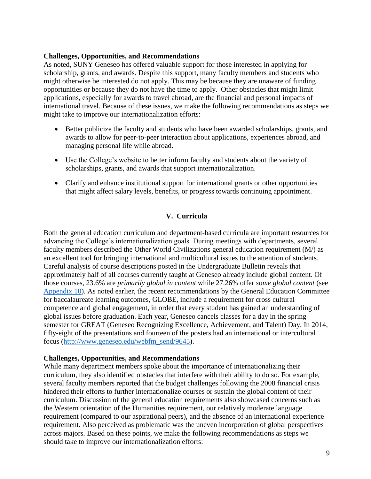#### **Challenges, Opportunities, and Recommendations**

As noted, SUNY Geneseo has offered valuable support for those interested in applying for scholarship, grants, and awards. Despite this support, many faculty members and students who might otherwise be interested do not apply. This may be because they are unaware of funding opportunities or because they do not have the time to apply. Other obstacles that might limit applications, especially for awards to travel abroad, are the financial and personal impacts of international travel. Because of these issues, we make the following recommendations as steps we might take to improve our internationalization efforts:

- Better publicize the faculty and students who have been awarded scholarships, grants, and awards to allow for peer-to-peer interaction about applications, experiences abroad, and managing personal life while abroad.
- Use the College's website to better inform faculty and students about the variety of scholarships, grants, and awards that support internationalization.
- Clarify and enhance institutional support for international grants or other opportunities that might affect salary levels, benefits, or progress towards continuing appointment.

# **V. Curricula**

Both the general education curriculum and department-based curricula are important resources for advancing the College's internationalization goals. During meetings with departments, several faculty members described the Other World Civilizations general education requirement (M/) as an excellent tool for bringing international and multicultural issues to the attention of students. Careful analysis of course descriptions posted in the Undergraduate Bulletin reveals that approximately half of all courses currently taught at Geneseo already include global content. Of those courses, 23.6% are *primarily global in content* while 27.26% offer *some global content* (see [Appendix 10\)](http://www.geneseo.edu/webfm_send/11461). As noted earlier, the recent recommendations by the General Education Committee for baccalaureate learning outcomes, GLOBE, include a requirement for cross cultural competence and global engagement, in order that every student has gained an understanding of global issues before graduation. Each year, Geneseo cancels classes for a day in the spring semester for GREAT (Geneseo Recognizing Excellence, Achievement, and Talent) Day. In 2014, fifty-eight of the presentations and fourteen of the posters had an international or intercultural focus [\(http://www.geneseo.edu/webfm\\_send/9645\)](http://www.geneseo.edu/webfm_send/9645).

## **Challenges, Opportunities, and Recommendations**

While many department members spoke about the importance of internationalizing their curriculum, they also identified obstacles that interfere with their ability to do so. For example, several faculty members reported that the budget challenges following the 2008 financial crisis hindered their efforts to further internationalize courses or sustain the global content of their curriculum. Discussion of the general education requirements also showcased concerns such as the Western orientation of the Humanities requirement, our relatively moderate language requirement (compared to our aspirational peers), and the absence of an international experience requirement. Also perceived as problematic was the uneven incorporation of global perspectives across majors. Based on these points, we make the following recommendations as steps we should take to improve our internationalization efforts: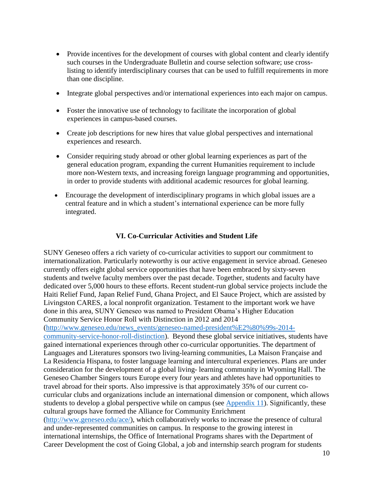- Provide incentives for the development of courses with global content and clearly identify such courses in the Undergraduate Bulletin and course selection software; use crosslisting to identify interdisciplinary courses that can be used to fulfill requirements in more than one discipline.
- Integrate global perspectives and/or international experiences into each major on campus.
- Foster the innovative use of technology to facilitate the incorporation of global experiences in campus-based courses.
- Create job descriptions for new hires that value global perspectives and international experiences and research.
- Consider requiring study abroad or other global learning experiences as part of the general education program, expanding the current Humanities requirement to include more non-Western texts, and increasing foreign language programming and opportunities, in order to provide students with additional academic resources for global learning.
- Encourage the development of interdisciplinary programs in which global issues are a central feature and in which a student's international experience can be more fully integrated.

#### **VI. Co-Curricular Activities and Student Life**

SUNY Geneseo offers a rich variety of co-curricular activities to support our commitment to internationalization. Particularly noteworthy is our active engagement in service abroad. Geneseo currently offers eight global service opportunities that have been embraced by sixty-seven students and twelve faculty members over the past decade. Together, students and faculty have dedicated over 5,000 hours to these efforts. Recent student-run global service projects include the Haiti Relief Fund, Japan Relief Fund, Ghana Project, and El Sauce Project, which are assisted by Livingston CARES, a local nonprofit organization. Testament to the important work we have done in this area, SUNY Geneseo was named to President Obama's Higher Education Community Service Honor Roll with Distinction in 2012 and 2014 [\(http://www.geneseo.edu/news\\_events/geneseo-named-president%E2%80%99s-2014](http://www.geneseo.edu/news_events/geneseo-named-president%E2%80%99s-2014-community-service-honor-roll-distinction) [community-service-honor-roll-distinction\)](http://www.geneseo.edu/news_events/geneseo-named-president%E2%80%99s-2014-community-service-honor-roll-distinction). Beyond these global service initiatives, students have gained international experiences through other co-curricular opportunities. The department of Languages and Literatures sponsors two living-learning communities, La Maison Française and La Residencia Hispana, to foster language learning and intercultural experiences. Plans are under consideration for the development of a global living- learning community in Wyoming Hall. The Geneseo Chamber Singers tours Europe every four years and athletes have had opportunities to travel abroad for their sports. Also impressive is that approximately 35% of our current cocurricular clubs and organizations include an international dimension or component, which allows students to develop a global perspective while on campus (see [Appendix 11\)](http://www.geneseo.edu/webfm_send/11462). Significantly, these cultural groups have formed the Alliance for Community Enrichment [\(http://www.geneseo.edu/ace/\)](http://www.geneseo.edu/ace/), which collaboratively works to increase the presence of cultural and under-represented communities on campus. In response to the growing interest in international internships, the Office of International Programs shares with the Department of Career Development the cost of Going Global, a job and internship search program for students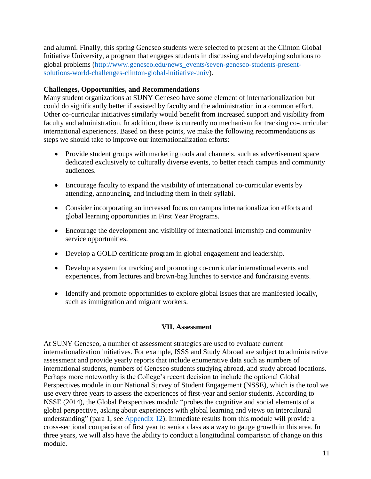and alumni. Finally, this spring Geneseo students were selected to present at the Clinton Global Initiative University, a program that engages students in discussing and developing solutions to global problems [\(http://www.geneseo.edu/news\\_events/seven-geneseo-students-present](http://www.geneseo.edu/news_events/seven-geneseo-students-present-solutions-world-challenges-clinton-global-initiative-univ)[solutions-world-challenges-clinton-global-initiative-univ\)](http://www.geneseo.edu/news_events/seven-geneseo-students-present-solutions-world-challenges-clinton-global-initiative-univ).

### **Challenges, Opportunities, and Recommendations**

Many student organizations at SUNY Geneseo have some element of internationalization but could do significantly better if assisted by faculty and the administration in a common effort. Other co-curricular initiatives similarly would benefit from increased support and visibility from faculty and administration. In addition, there is currently no mechanism for tracking co-curricular international experiences. Based on these points, we make the following recommendations as steps we should take to improve our internationalization efforts:

- Provide student groups with marketing tools and channels, such as advertisement space dedicated exclusively to culturally diverse events, to better reach campus and community audiences.
- Encourage faculty to expand the visibility of international co-curricular events by attending, announcing, and including them in their syllabi.
- Consider incorporating an increased focus on campus internationalization efforts and global learning opportunities in First Year Programs.
- Encourage the development and visibility of international internship and community service opportunities.
- Develop a GOLD certificate program in global engagement and leadership.
- Develop a system for tracking and promoting co-curricular international events and experiences, from lectures and brown-bag lunches to service and fundraising events.
- Identify and promote opportunities to explore global issues that are manifested locally, such as immigration and migrant workers.

## **VII. Assessment**

At SUNY Geneseo, a number of assessment strategies are used to evaluate current internationalization initiatives. For example, ISSS and Study Abroad are subject to administrative assessment and provide yearly reports that include enumerative data such as numbers of international students, numbers of Geneseo students studying abroad, and study abroad locations. Perhaps more noteworthy is the College's recent decision to include the optional Global Perspectives module in our National Survey of Student Engagement (NSSE), which is the tool we use every three years to assess the experiences of first-year and senior students. According to NSSE (2014), the Global Perspectives module "probes the cognitive and social elements of a global perspective, asking about experiences with global learning and views on intercultural understanding" (para 1, see [Appendix 12\)](http://www.geneseo.edu/webfm_send/11463). Immediate results from this module will provide a cross-sectional comparison of first year to senior class as a way to gauge growth in this area. In three years, we will also have the ability to conduct a longitudinal comparison of change on this module.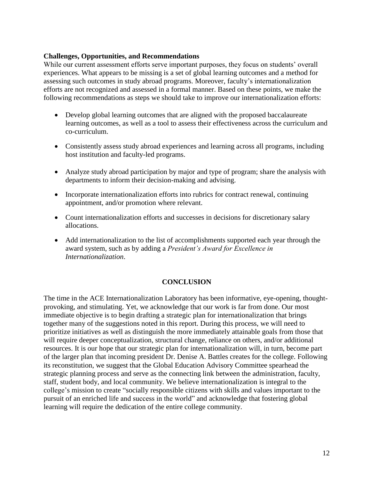#### **Challenges, Opportunities, and Recommendations**

While our current assessment efforts serve important purposes, they focus on students' overall experiences. What appears to be missing is a set of global learning outcomes and a method for assessing such outcomes in study abroad programs. Moreover, faculty's internationalization efforts are not recognized and assessed in a formal manner. Based on these points, we make the following recommendations as steps we should take to improve our internationalization efforts:

- Develop global learning outcomes that are aligned with the proposed baccalaureate learning outcomes, as well as a tool to assess their effectiveness across the curriculum and co-curriculum.
- Consistently assess study abroad experiences and learning across all programs, including host institution and faculty-led programs.
- Analyze study abroad participation by major and type of program; share the analysis with departments to inform their decision-making and advising.
- Incorporate internationalization efforts into rubrics for contract renewal, continuing appointment, and/or promotion where relevant.
- Count internationalization efforts and successes in decisions for discretionary salary allocations.
- Add internationalization to the list of accomplishments supported each year through the award system, such as by adding a *President's Award for Excellence in Internationalization*.

#### **CONCLUSION**

The time in the ACE Internationalization Laboratory has been informative, eye-opening, thoughtprovoking, and stimulating. Yet, we acknowledge that our work is far from done. Our most immediate objective is to begin drafting a strategic plan for internationalization that brings together many of the suggestions noted in this report. During this process, we will need to prioritize initiatives as well as distinguish the more immediately attainable goals from those that will require deeper conceptualization, structural change, reliance on others, and/or additional resources. It is our hope that our strategic plan for internationalization will, in turn, become part of the larger plan that incoming president Dr. Denise A. Battles creates for the college. Following its reconstitution, we suggest that the Global Education Advisory Committee spearhead the strategic planning process and serve as the connecting link between the administration, faculty, staff, student body, and local community. We believe internationalization is integral to the college's mission to create "socially responsible citizens with skills and values important to the pursuit of an enriched life and success in the world" and acknowledge that fostering global learning will require the dedication of the entire college community.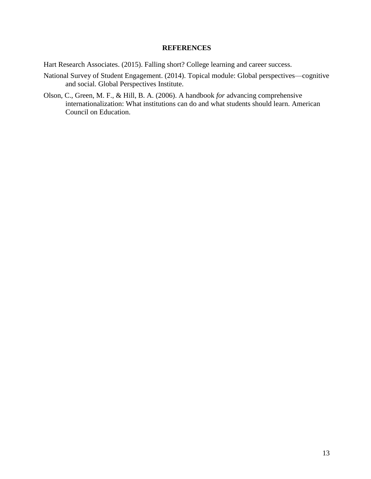### **REFERENCES**

Hart Research Associates. (2015). Falling short? College learning and career success.

- National Survey of Student Engagement. (2014). Topical module: Global perspectives—cognitive and social. Global Perspectives Institute.
- Olson, C., Green, M. F., & Hill, B. A. (2006). A handbook *for* advancing comprehensive internationalization: What institutions can do and what students should learn. American Council on Education.